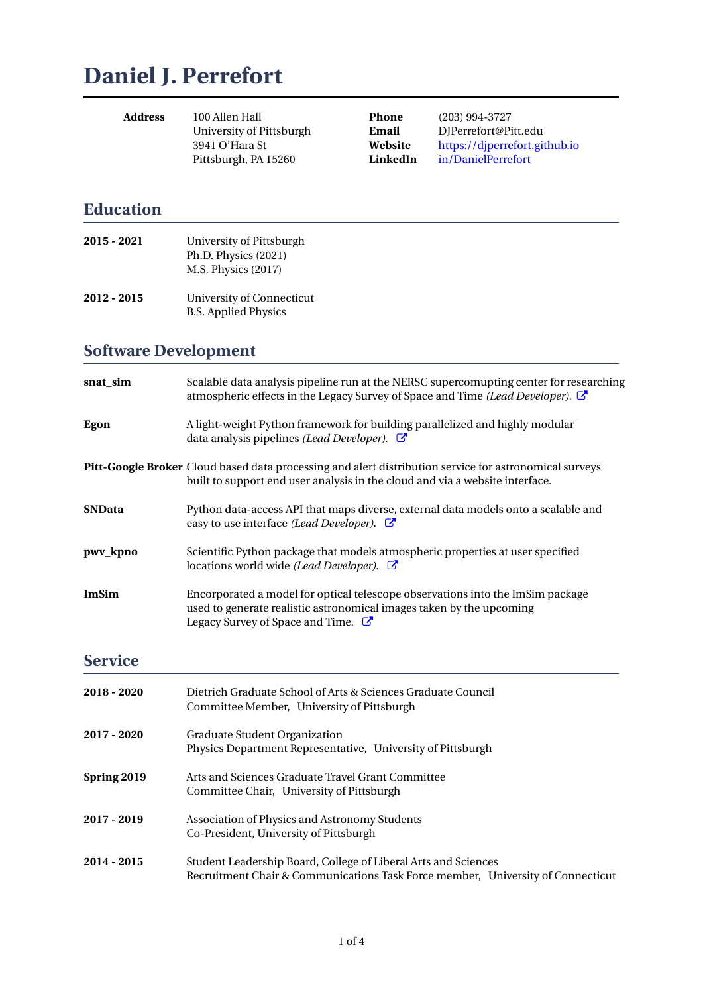# **Daniel J. Perrefort**

| 100 Allen Hall           | Pl |
|--------------------------|----|
| University of Pittsburgh | Еı |
| 3941 O'Hara St           | W  |
| Pittsburgh, PA 15260     | Li |
|                          |    |

**Phone** (203) 994-3727 **Email** DJPerrefort@Pitt.edu **Website** https://djperrefort.github.io **LinkedIn** in/DanielPerrefort

### **Education**

| $2015 - 2021$ | University of Pittsburgh<br>Ph.D. Physics (2021)<br>M.S. Physics (2017) |
|---------------|-------------------------------------------------------------------------|
| 2012 - 2015   | University of Connecticut<br><b>B.S. Applied Physics</b>                |

### **Software Development**

| snat_sim       | Scalable data analysis pipeline run at the NERSC supercomupting center for researching<br>atmospheric effects in the Legacy Survey of Space and Time (Lead Developer).                            |
|----------------|---------------------------------------------------------------------------------------------------------------------------------------------------------------------------------------------------|
| Egon           | A light-weight Python framework for building parallelized and highly modular<br>data analysis pipelines (Lead Developer). $\mathbb{C}$                                                            |
|                | Pitt-Google Broker Cloud based data processing and alert distribution service for astronomical surveys<br>built to support end user analysis in the cloud and via a website interface.            |
| <b>SNData</b>  | Python data-access API that maps diverse, external data models onto a scalable and<br>easy to use interface (Lead Developer). <b>■</b>                                                            |
| pwv_kpno       | Scientific Python package that models atmospheric properties at user specified<br>locations world wide (Lead Developer). $\mathbb{C}$                                                             |
| <b>ImSim</b>   | Encorporated a model for optical telescope observations into the ImSim package<br>used to generate realistic astronomical images taken by the upcoming<br>Legacy Survey of Space and Time. $\Box$ |
| <b>Service</b> |                                                                                                                                                                                                   |
| 2018 - 2020    | Dietrich Graduate School of Arts & Sciences Graduate Council<br>Committee Member, University of Pittsburgh                                                                                        |
| 2017 - 2020    | Graduate Student Organization<br>Physics Department Representative, University of Pittsburgh                                                                                                      |
| Spring 2019    | Arts and Sciences Graduate Travel Grant Committee<br>Committee Chair, University of Pittsburgh                                                                                                    |
| 2017 - 2019    | Association of Physics and Astronomy Students<br>Co-President, University of Pittsburgh                                                                                                           |
|                |                                                                                                                                                                                                   |

**2014 - 2015** Student Leadership Board, College of Liberal Arts and Sciences Recruitment Chair & Communications Task Force member, University of Connecticut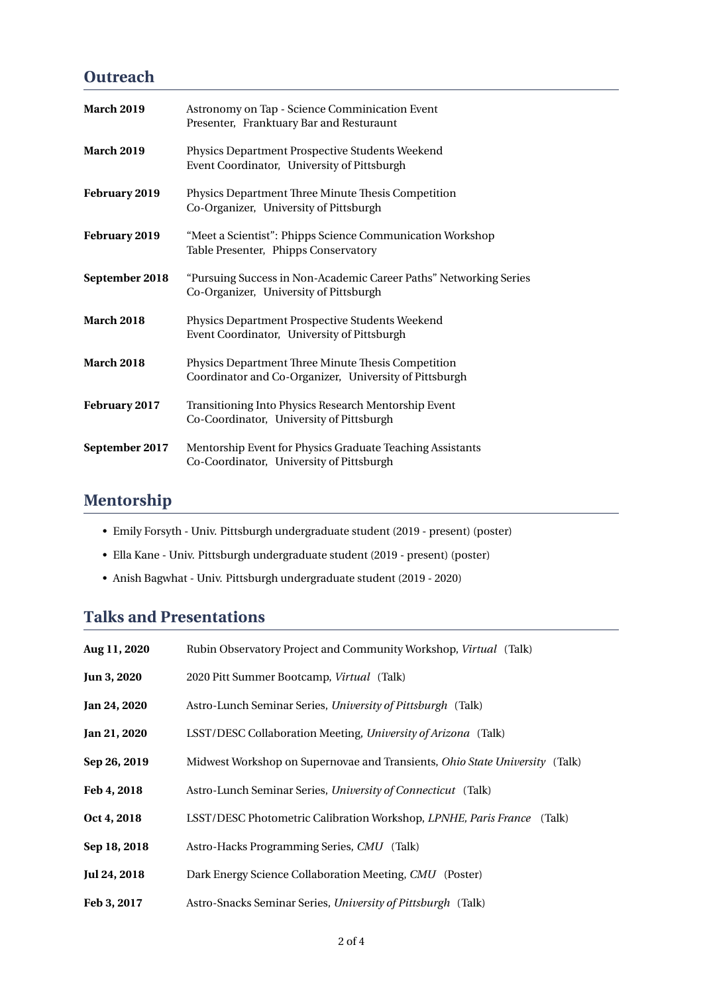### **Outreach**

| <b>March 2019</b> | Astronomy on Tap - Science Comminication Event<br>Presenter, Franktuary Bar and Resturaunt                   |
|-------------------|--------------------------------------------------------------------------------------------------------------|
| <b>March 2019</b> | Physics Department Prospective Students Weekend<br>Event Coordinator, University of Pittsburgh               |
| February 2019     | Physics Department Three Minute Thesis Competition<br>Co-Organizer, University of Pittsburgh                 |
| February 2019     | "Meet a Scientist": Phipps Science Communication Workshop<br>Table Presenter, Phipps Conservatory            |
| September 2018    | "Pursuing Success in Non-Academic Career Paths" Networking Series<br>Co-Organizer, University of Pittsburgh  |
| <b>March 2018</b> | Physics Department Prospective Students Weekend<br>Event Coordinator, University of Pittsburgh               |
| <b>March 2018</b> | Physics Department Three Minute Thesis Competition<br>Coordinator and Co-Organizer, University of Pittsburgh |
| February 2017     | Transitioning Into Physics Research Mentorship Event<br>Co-Coordinator, University of Pittsburgh             |
| September 2017    | Mentorship Event for Physics Graduate Teaching Assistants<br>Co-Coordinator, University of Pittsburgh        |

# **Mentorship**

- Emily Forsyth Univ. Pittsburgh undergraduate student (2019 present) (poster)
- Ella Kane Univ. Pittsburgh undergraduate student (2019 present) (poster)
- Anish Bagwhat Univ. Pittsburgh undergraduate student (2019 2020)

## **Talks and Presentations**

| Aug 11, 2020 | Rubin Observatory Project and Community Workshop, Virtual (Talk)                   |
|--------------|------------------------------------------------------------------------------------|
| Jun 3, 2020  | 2020 Pitt Summer Bootcamp, Virtual (Talk)                                          |
| Jan 24, 2020 | Astro-Lunch Seminar Series, University of Pittsburgh (Talk)                        |
| Jan 21, 2020 | LSST/DESC Collaboration Meeting, University of Arizona (Talk)                      |
| Sep 26, 2019 | Midwest Workshop on Supernovae and Transients, <i>Ohio State University</i> (Talk) |
| Feb 4, 2018  | Astro-Lunch Seminar Series, University of Connecticut (Talk)                       |
| Oct 4, 2018  | LSST/DESC Photometric Calibration Workshop, LPNHE, Paris France (Talk)             |
| Sep 18, 2018 | Astro-Hacks Programming Series, CMU (Talk)                                         |
| Jul 24, 2018 | Dark Energy Science Collaboration Meeting, CMU (Poster)                            |
| Feb 3, 2017  | Astro-Snacks Seminar Series, University of Pittsburgh (Talk)                       |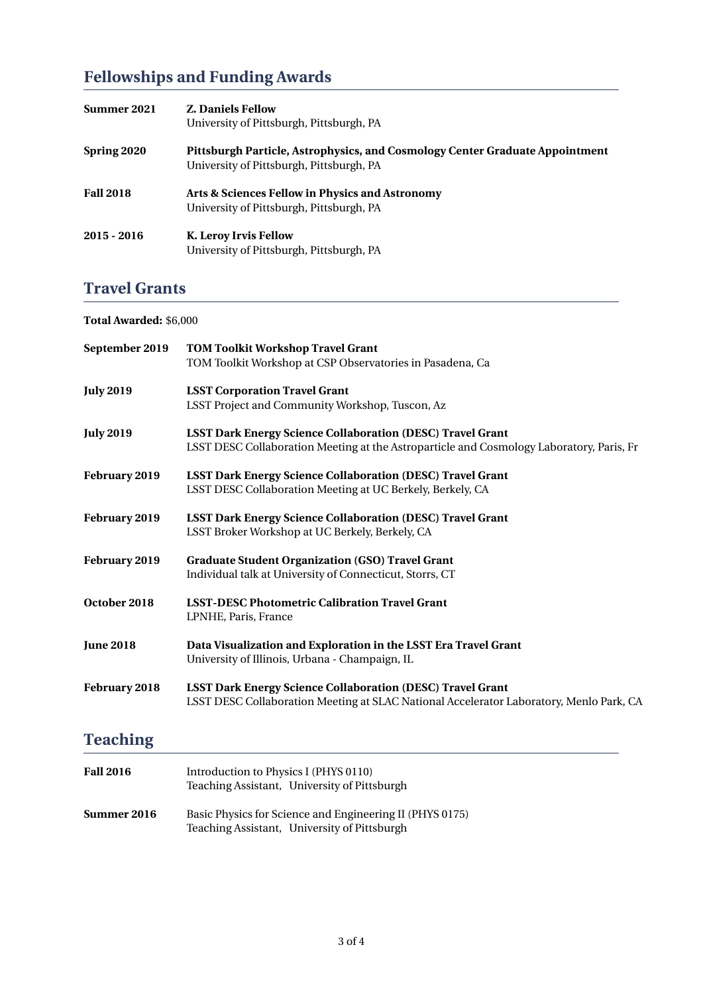# **Fellowships and Funding Awards**

| Summer 2021      | <b>Z. Daniels Fellow</b><br>University of Pittsburgh, Pittsburgh, PA                                                     |
|------------------|--------------------------------------------------------------------------------------------------------------------------|
| Spring 2020      | Pittsburgh Particle, Astrophysics, and Cosmology Center Graduate Appointment<br>University of Pittsburgh, Pittsburgh, PA |
| <b>Fall 2018</b> | Arts & Sciences Fellow in Physics and Astronomy<br>University of Pittsburgh, Pittsburgh, PA                              |
| $2015 - 2016$    | K. Leroy Irvis Fellow<br>University of Pittsburgh, Pittsburgh, PA                                                        |

# **Travel Grants**

#### **Total Awarded:** \$6,000

| September 2019   | <b>TOM Toolkit Workshop Travel Grant</b><br>TOM Toolkit Workshop at CSP Observatories in Pasadena, Ca |
|------------------|-------------------------------------------------------------------------------------------------------|
| <b>July 2019</b> | <b>LSST Corporation Travel Grant</b><br>LSST Project and Community Workshop, Tuscon, Az               |
|                  |                                                                                                       |
| <b>July 2019</b> | <b>LSST Dark Energy Science Collaboration (DESC) Travel Grant</b>                                     |
|                  | LSST DESC Collaboration Meeting at the Astroparticle and Cosmology Laboratory, Paris, Fr              |
| February 2019    | <b>LSST Dark Energy Science Collaboration (DESC) Travel Grant</b>                                     |
|                  | LSST DESC Collaboration Meeting at UC Berkely, Berkely, CA                                            |
| February 2019    | <b>LSST Dark Energy Science Collaboration (DESC) Travel Grant</b>                                     |
|                  | LSST Broker Workshop at UC Berkely, Berkely, CA                                                       |
| February 2019    | <b>Graduate Student Organization (GSO) Travel Grant</b>                                               |
|                  | Individual talk at University of Connecticut, Storrs, CT                                              |
| October 2018     | <b>LSST-DESC Photometric Calibration Travel Grant</b>                                                 |
|                  | LPNHE, Paris, France                                                                                  |
| <b>June 2018</b> | Data Visualization and Exploration in the LSST Era Travel Grant                                       |
|                  | University of Illinois, Urbana - Champaign, IL                                                        |
| February 2018    | <b>LSST Dark Energy Science Collaboration (DESC) Travel Grant</b>                                     |
|                  | LSST DESC Collaboration Meeting at SLAC National Accelerator Laboratory, Menlo Park, CA               |
|                  |                                                                                                       |

# **Teaching**

| <b>Fall 2016</b>   | Introduction to Physics I (PHYS 0110)<br>Teaching Assistant, University of Pittsburgh                    |
|--------------------|----------------------------------------------------------------------------------------------------------|
| <b>Summer 2016</b> | Basic Physics for Science and Engineering II (PHYS 0175)<br>Teaching Assistant, University of Pittsburgh |